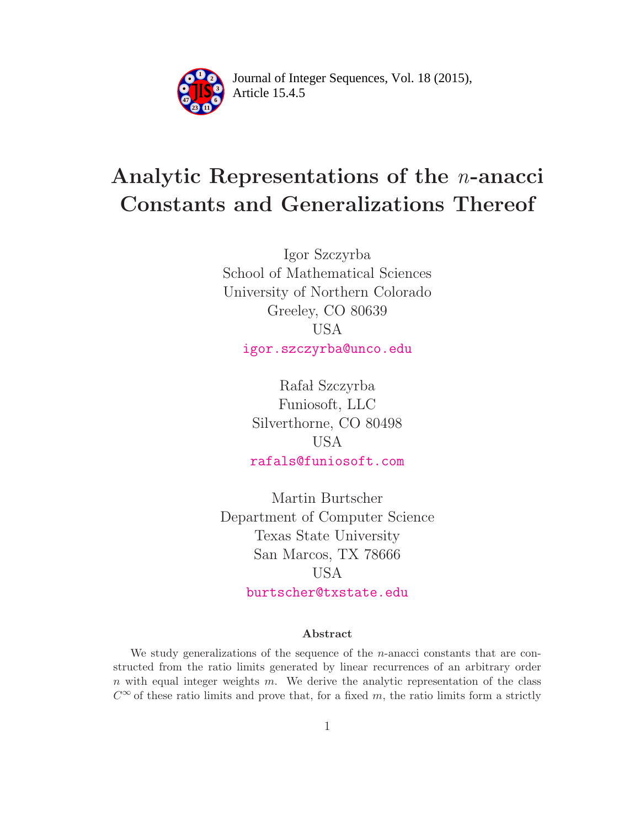

Article 15.4.5 **<sup>2</sup>** Journal of Integer Sequences, Vol. 18 (2015),

# Analytic Representations of the n-anacci Constants and Generalizations Thereof

Igor Szczyrba School of Mathematical Sciences University of Northern Colorado Greeley, CO 80639 USA [igor.szczyrba@unco.edu](mailto:igor.szczyrba@unco.edu)

> Rafał Szczyrba Funiosoft, LLC Silverthorne, CO 80498 USA [rafals@funiosoft.com](mailto:rafals@funiosoft.com)

Martin Burtscher Department of Computer Science Texas State University San Marcos, TX 78666 USA [burtscher@txstate.edu](mailto:burtscher@txstate.edu)

#### Abstract

We study generalizations of the sequence of the n-anacci constants that are constructed from the ratio limits generated by linear recurrences of an arbitrary order  $n$  with equal integer weights  $m$ . We derive the analytic representation of the class  $C^{\infty}$  of these ratio limits and prove that, for a fixed m, the ratio limits form a strictly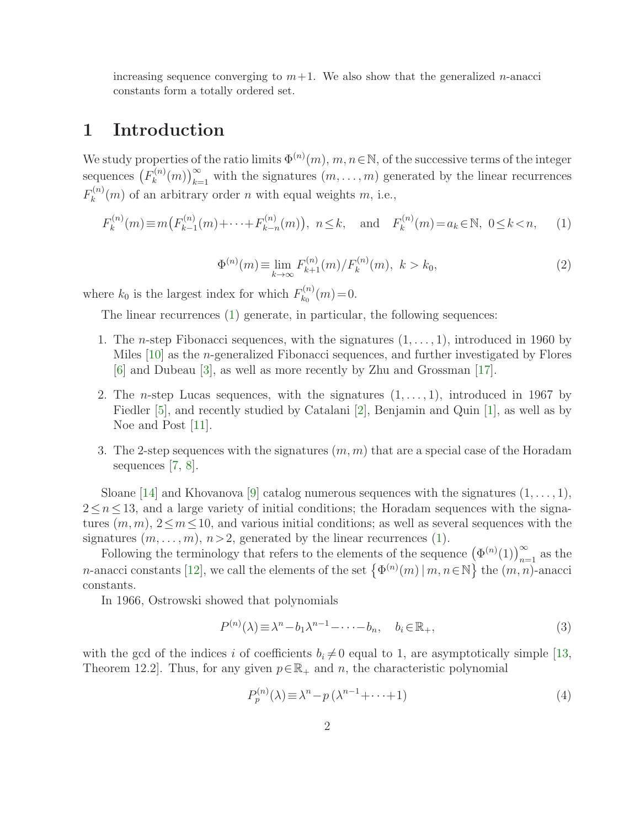increasing sequence converging to  $m+1$ . We also show that the generalized *n*-anacci constants form a totally ordered set.

# 1 Introduction

We study properties of the ratio limits  $\Phi^{(n)}(m)$ ,  $m, n \in \mathbb{N}$ , of the successive terms of the integer sequences  $(F_k^{(n)}$  $\mathcal{L}_{k}^{(n)}(m)$ <sub>k=1</sub> with the signatures  $(m, \ldots, m)$  generated by the linear recurrences  $F_k^{(n)}$  $k^{(n)}(m)$  of an arbitrary order *n* with equal weights *m*, i.e.,

<span id="page-1-2"></span>
$$
F_k^{(n)}(m) \equiv m(F_{k-1}^{(n)}(m) + \dots + F_{k-n}^{(n)}(m)), \ n \le k, \text{ and } F_k^{(n)}(m) = a_k \in \mathbb{N}, \ 0 \le k < n,
$$
 (1)

<span id="page-1-0"></span>
$$
\Phi^{(n)}(m) \equiv \lim_{k \to \infty} F_{k+1}^{(n)}(m) / F_k^{(n)}(m), \ k > k_0,
$$
\n(2)

where  $k_0$  is the largest index for which  $F_{k_0}^{(n)}$  $k_0^{(n)}(m)=0.$ 

The linear recurrences [\(1\)](#page-1-0) generate, in particular, the following sequences:

- 1. The *n*-step Fibonacci sequences, with the signatures  $(1, \ldots, 1)$ , introduced in 1960 by Miles [\[10\]](#page-9-0) as the *n*-generalized Fibonacci sequences, and further investigated by Flores [\[6\]](#page-8-0) and Dubeau [\[3\]](#page-8-1), as well as more recently by Zhu and Grossman [\[17\]](#page-9-1).
- 2. The *n*-step Lucas sequences, with the signatures  $(1, \ldots, 1)$ , introduced in 1967 by Fiedler [\[5\]](#page-8-2), and recently studied by Catalani [\[2\]](#page-8-3), Benjamin and Quin [\[1\]](#page-8-4), as well as by Noe and Post [\[11\]](#page-9-2).
- 3. The 2-step sequences with the signatures  $(m, m)$  that are a special case of the Horadam sequences [\[7,](#page-9-3) [8\]](#page-9-4).

Sloane [\[14\]](#page-9-5) and Khovanova [\[9\]](#page-9-6) catalog numerous sequences with the signatures  $(1, \ldots, 1)$ ,  $2 \leq n \leq 13$ , and a large variety of initial conditions; the Horadam sequences with the signatures  $(m, m)$ ,  $2 \leq m \leq 10$ , and various initial conditions; as well as several sequences with the signatures  $(m, \ldots, m)$ ,  $n > 2$ , generated by the linear recurrences [\(1\)](#page-1-0).

Following the terminology that refers to the elements of the sequence  $(\Phi^{(n)}(1))_{n=1}^{\infty}$  as the *n*-anacci constants [\[12\]](#page-9-7), we call the elements of the set  $\{\Phi^{(n)}(m) | m, n \in \mathbb{N}\}\$  the  $(m, n)$ -anacci constants.

In 1966, Ostrowski showed that polynomials

$$
P^{(n)}(\lambda) \equiv \lambda^n - b_1 \lambda^{n-1} - \dots - b_n, \quad b_i \in \mathbb{R}_+, \tag{3}
$$

with the gcd of the indices i of coefficients  $b_i \neq 0$  equal to 1, are asymptotically simple [\[13,](#page-9-8) Theorem 12.2. Thus, for any given  $p \in \mathbb{R}_+$  and n, the characteristic polynomial

<span id="page-1-1"></span>
$$
P_p^{(n)}(\lambda) \equiv \lambda^n - p(\lambda^{n-1} + \dots + 1)
$$
\n<sup>(4)</sup>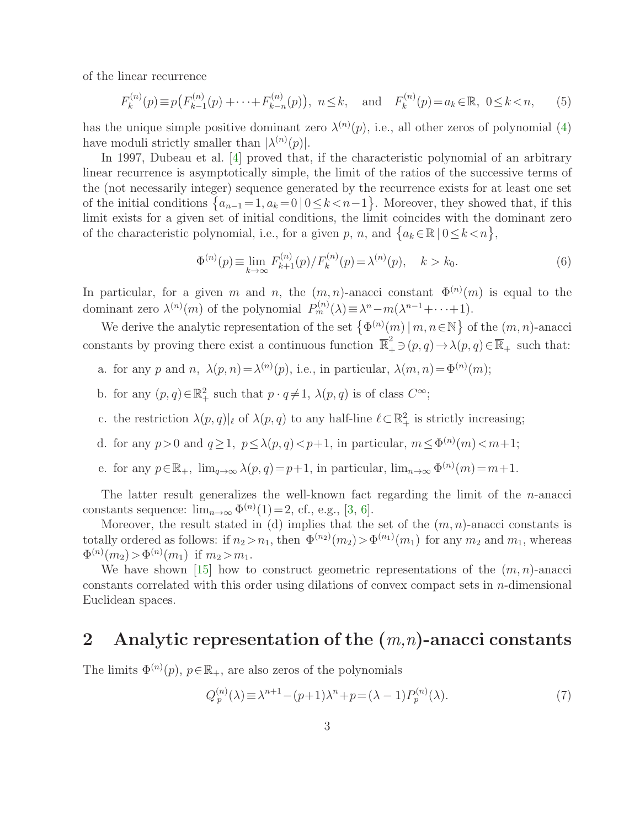of the linear recurrence

$$
F_k^{(n)}(p) \equiv p(F_{k-1}^{(n)}(p) + \dots + F_{k-n}^{(n)}(p)), \ n \le k, \text{ and } F_k^{(n)}(p) = a_k \in \mathbb{R}, \ 0 \le k < n,
$$
 (5)

has the unique simple positive dominant zero  $\lambda^{(n)}(p)$ , i.e., all other zeros of polynomial [\(4\)](#page-1-1) have moduli strictly smaller than  $|\lambda^{(n)}(p)|$ .

In 1997, Dubeau et al. [\[4\]](#page-8-5) proved that, if the characteristic polynomial of an arbitrary linear recurrence is asymptotically simple, the limit of the ratios of the successive terms of the (not necessarily integer) sequence generated by the recurrence exists for at least one set of the initial conditions  $\{a_{n-1}=1, a_k=0 \mid 0 \le k < n-1\}$ . Moreover, they showed that, if this limit exists for a given set of initial conditions, the limit coincides with the dominant zero of the characteristic polynomial, i.e., for a given p, n, and  $\{a_k \in \mathbb{R} \mid 0 \le k \le n\},\$ 

$$
\Phi^{(n)}(p) \equiv \lim_{k \to \infty} F_{k+1}^{(n)}(p) / F_k^{(n)}(p) = \lambda^{(n)}(p), \quad k > k_0.
$$
 (6)

In particular, for a given m and n, the  $(m, n)$ -anacci constant  $\Phi^{(n)}(m)$  is equal to the dominant zero  $\lambda^{(n)}(m)$  of the polynomial  $P_m^{(n)}(\lambda) \equiv \lambda^n - m(\lambda^{n-1} + \cdots + 1)$ .

We derive the analytic representation of the set  $\{\Phi^{(n)}(m) \mid m, n \in \mathbb{N}\}\$  of the  $(m, n)$ -anacci constants by proving there exist a continuous function  $\overline{\mathbb{R}}_+^2 \ni (p, q) \to \lambda(p, q) \in \overline{\mathbb{R}}_+$  such that:

- a. for any p and n,  $\lambda(p,n) = \lambda^{(n)}(p)$ , i.e., in particular,  $\lambda(m,n) = \Phi^{(n)}(m)$ ;
- b. for any  $(p, q) \in \mathbb{R}_+^2$  such that  $p \cdot q \neq 1$ ,  $\lambda(p, q)$  is of class  $C^{\infty}$ ;
- c. the restriction  $\lambda(p,q)|_{\ell}$  of  $\lambda(p,q)$  to any half-line  $\ell \subset \mathbb{R}^2_+$  is strictly increasing;
- d. for any  $p > 0$  and  $q \ge 1$ ,  $p \le \lambda(p,q) < p+1$ , in particular,  $m \le \Phi^{(n)}(m) < m+1$ ;
- e. for any  $p \in \mathbb{R}_+$ ,  $\lim_{q \to \infty} \lambda(p,q) = p+1$ , in particular,  $\lim_{n \to \infty} \Phi^{(n)}(m) = m+1$ .

The latter result generalizes the well-known fact regarding the limit of the  $n$ -anacci constants sequence:  $\lim_{n\to\infty} \Phi^{(n)}(1)=2$ , cf., e.g., [\[3,](#page-8-1) [6\]](#page-8-0).

Moreover, the result stated in (d) implies that the set of the  $(m, n)$ -anacci constants is totally ordered as follows: if  $n_2 > n_1$ , then  $\Phi^{(n_2)}(m_2) > \Phi^{(n_1)}(m_1)$  for any  $m_2$  and  $m_1$ , whereas  $\Phi^{(n)}(m_2) > \Phi^{(n)}(m_1)$  if  $m_2 > m_1$ .

We have shown [\[15\]](#page-9-9) how to construct geometric representations of the  $(m, n)$ -anacci constants correlated with this order using dilations of convex compact sets in n-dimensional Euclidean spaces.

## 2 Analytic representation of the  $(m,n)$ -anacci constants

The limits  $\Phi^{(n)}(p), p \in \mathbb{R}_+$ , are also zeros of the polynomials

$$
Q_p^{(n)}(\lambda) \equiv \lambda^{n+1} - (p+1)\lambda^n + p = (\lambda - 1)P_p^{(n)}(\lambda). \tag{7}
$$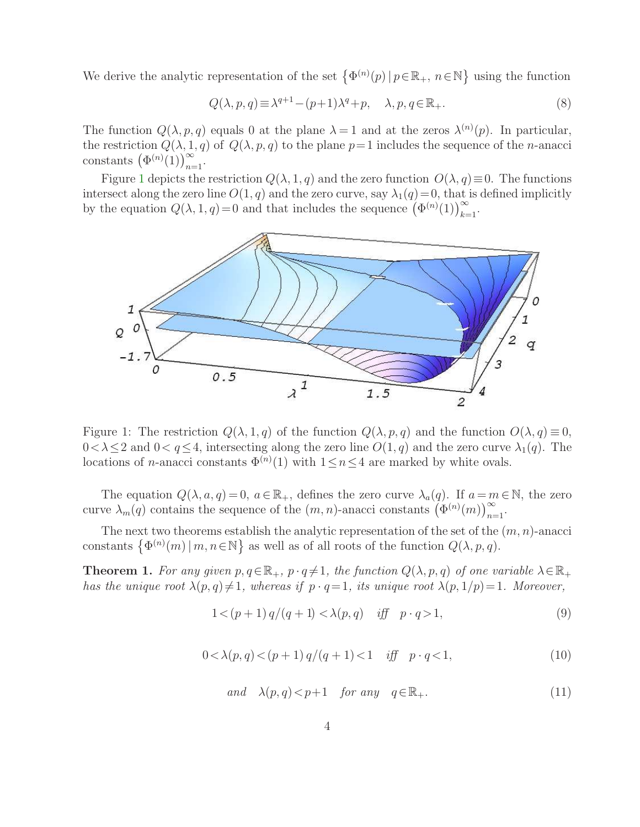We derive the analytic representation of the set  $\{\Phi^{(n)}(p) | p \in \mathbb{R}_+, n \in \mathbb{N}\}\$  using the function

<span id="page-3-1"></span>
$$
Q(\lambda, p, q) \equiv \lambda^{q+1} - (p+1)\lambda^q + p, \quad \lambda, p, q \in \mathbb{R}_+.
$$
\n
$$
(8)
$$

The function  $Q(\lambda, p, q)$  equals 0 at the plane  $\lambda = 1$  and at the zeros  $\lambda^{(n)}(p)$ . In particular, the restriction  $Q(\lambda, 1, q)$  of  $Q(\lambda, p, q)$  to the plane  $p=1$  includes the sequence of the *n*-anacci constants  $(\Phi^{(n)}(1))_{n=1}^{\infty}$ .

Figure [1](#page-3-0) depicts the restriction  $Q(\lambda, 1, q)$  and the zero function  $O(\lambda, q) \equiv 0$ . The functions intersect along the zero line  $O(1, q)$  and the zero curve, say  $\lambda_1(q)=0$ , that is defined implicitly by the equation  $Q(\lambda, 1, q) = 0$  and that includes the sequence  $(\Phi^{(n)}(1))_{k=1}^{\infty}$ .



<span id="page-3-0"></span>Figure 1: The restriction  $Q(\lambda, 1, q)$  of the function  $Q(\lambda, p, q)$  and the function  $O(\lambda, q) \equiv 0$ ,  $0 < \lambda \leq 2$  and  $0 < q \leq 4$ , intersecting along the zero line  $O(1, q)$  and the zero curve  $\lambda_1(q)$ . The locations of *n*-anacci constants  $\Phi^{(n)}(1)$  with  $1 \leq n \leq 4$  are marked by white ovals.

The equation  $Q(\lambda, a, q) = 0, a \in \mathbb{R}_+$ , defines the zero curve  $\lambda_a(q)$ . If  $a = m \in \mathbb{N}$ , the zero curve  $\lambda_m(q)$  contains the sequence of the  $(m, n)$ -anacci constants  $(\Phi^{(n)}(m))_{n=1}^{\infty}$ .

<span id="page-3-2"></span>The next two theorems establish the analytic representation of the set of the  $(m, n)$ -anacci constants  $\{\Phi^{(n)}(m) | m, n \in \mathbb{N}\}\$ as well as of all roots of the function  $Q(\lambda, p, q)$ .

<span id="page-3-4"></span>**Theorem 1.** For any given  $p, q \in \mathbb{R}_+$ ,  $p \cdot q \neq 1$ , the function  $Q(\lambda, p, q)$  of one variable  $\lambda \in \mathbb{R}_+$ has the unique root  $\lambda(p,q) \neq 1$ , whereas if  $p \cdot q=1$ , its unique root  $\lambda(p, 1/p)=1$ . Moreover,

$$
1 < (p+1) q/(q+1) < \lambda(p,q) \quad \text{iff} \quad p \cdot q > 1,\tag{9}
$$

$$
0 < \lambda(p, q) < (p+1) q/(q+1) < 1 \quad \text{iff} \quad p \cdot q < 1,\tag{10}
$$

<span id="page-3-3"></span>
$$
and \quad \lambda(p,q) < p+1 \quad \text{for any} \quad q \in \mathbb{R}_+.\tag{11}
$$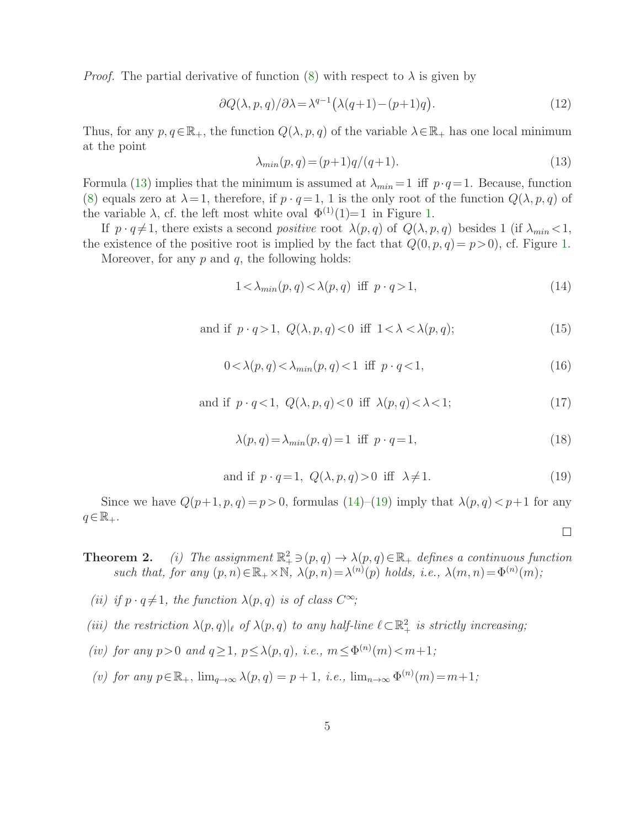*Proof.* The partial derivative of function [\(8\)](#page-3-1) with respect to  $\lambda$  is given by

$$
\partial Q(\lambda, p, q)/\partial \lambda = \lambda^{q-1} (\lambda(q+1) - (p+1)q). \tag{12}
$$

<span id="page-4-0"></span>Thus, for any  $p, q \in \mathbb{R}_+$ , the function  $Q(\lambda, p, q)$  of the variable  $\lambda \in \mathbb{R}_+$  has one local minimum at the point

<span id="page-4-3"></span>
$$
\lambda_{min}(p,q) = (p+1)q/(q+1). \tag{13}
$$

Formula [\(13\)](#page-4-0) implies that the minimum is assumed at  $\lambda_{min} = 1$  iff  $p \cdot q = 1$ . Because, function [\(8\)](#page-3-1) equals zero at  $\lambda = 1$ , therefore, if  $p \cdot q = 1$ , 1 is the only root of the function  $Q(\lambda, p, q)$  of the variable  $\lambda$ , cf. the left most white oval  $\Phi^{(1)}(1)=1$  in Figure [1.](#page-3-0)

If  $p \cdot q \neq 1$ , there exists a second *positive* root  $\lambda(p,q)$  of  $Q(\lambda, p,q)$  besides 1 (if  $\lambda_{min} < 1$ , the existence of the positive root is implied by the fact that  $Q(0, p, q) = p > 0$ , cf. Figure [1.](#page-3-0)

<span id="page-4-4"></span>Moreover, for any  $p$  and  $q$ , the following holds:

<span id="page-4-1"></span>
$$
1 < \lambda_{\min}(p, q) < \lambda(p, q) \text{ iff } p \cdot q > 1,
$$
\n
$$
(14)
$$

and if 
$$
p \cdot q > 1
$$
,  $Q(\lambda, p, q) < 0$  iff  $1 < \lambda < \lambda(p, q)$ ;  
(15)

$$
0 < \lambda(p, q) < \lambda_{min}(p, q) < 1 \quad \text{iff} \quad p \cdot q < 1,\tag{16}
$$

and if 
$$
p \cdot q < 1
$$
,  $Q(\lambda, p, q) < 0$  iff  $\lambda(p, q) < \lambda < 1$ ;\n
$$
(17)
$$

$$
\lambda(p,q) = \lambda_{min}(p,q) = 1 \text{ iff } p \cdot q = 1,
$$
\n(18)

and if 
$$
p \cdot q = 1
$$
,  $Q(\lambda, p, q) > 0$  iff  $\lambda \neq 1$ . (19)

 $\Box$ 

<span id="page-4-2"></span>Since we have  $Q(p+1, p, q) = p > 0$ , formulas  $(14)$ – $(19)$  imply that  $\lambda(p, q) < p+1$  for any  $q \in \mathbb{R}_+$ .

<span id="page-4-5"></span>**Theorem 2.** (i) The assignment 
$$
\mathbb{R}^2_+ \ni (p, q) \to \lambda(p, q) \in \mathbb{R}_+
$$
 defines a continuous function  
such that, for any  $(p, n) \in \mathbb{R}_+ \times \mathbb{N}$ ,  $\lambda(p, n) = \lambda^{(n)}(p)$  holds, i.e.,  $\lambda(m, n) = \Phi^{(n)}(m)$ ;

- (ii) if  $p \cdot q \neq 1$ , the function  $\lambda(p,q)$  is of class  $C^{\infty}$ ;
- (iii) the restriction  $\lambda(p,q)|_{\ell}$  of  $\lambda(p,q)$  to any half-line  $\ell \subset \mathbb{R}^2_+$  is strictly increasing;
- (iv) for any  $p>0$  and  $q\geq 1$ ,  $p\leq \lambda(p,q)$ , i.e.,  $m\leq \Phi^{(n)}(m) < m+1$ ;
- (v) for any  $p \in \mathbb{R}_+$ ,  $\lim_{q \to \infty} \lambda(p,q) = p + 1$ , i.e.,  $\lim_{n \to \infty} \Phi^{(n)}(m) = m + 1$ ;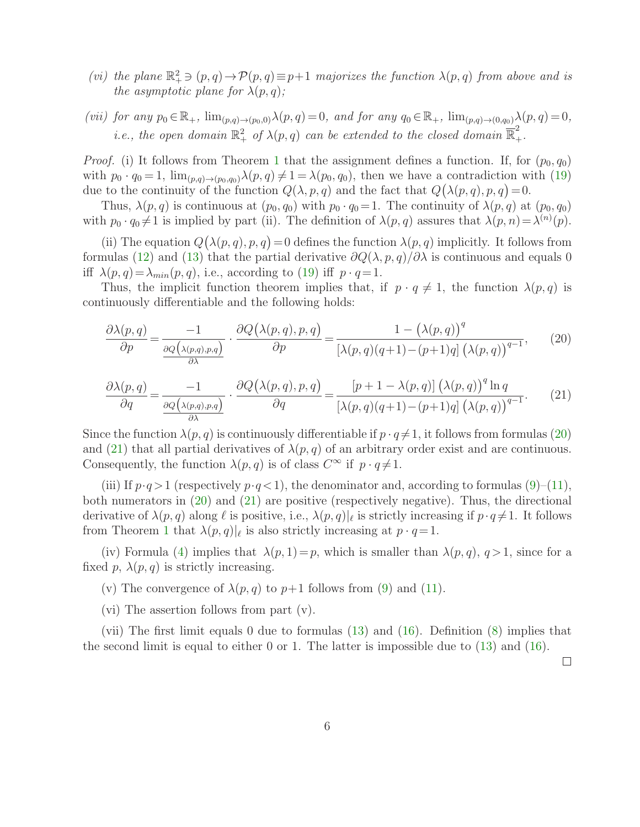- (vi) the plane  $\mathbb{R}^2_+ \ni (p,q) \to \mathcal{P}(p,q) \equiv p+1$  majorizes the function  $\lambda(p,q)$  from above and is the asymptotic plane for  $\lambda(p,q)$ ;
- (vii) for any  $p_0 \in \mathbb{R}_+$ ,  $\lim_{(p,q)\to(p_0,0)} \lambda(p,q) = 0$ , and for any  $q_0 \in \mathbb{R}_+$ ,  $\lim_{(p,q)\to(0,q_0)} \lambda(p,q) = 0$ , *i.e.*, the open domain  $\mathbb{R}^2_+$  of  $\lambda(p,q)$  can be extended to the closed domain  $\overline{\mathbb{R}}^2_+$ .

*Proof.* (i) It follows from Theorem [1](#page-3-2) that the assignment defines a function. If, for  $(p_0, q_0)$ with  $p_0 \cdot q_0 = 1$ ,  $\lim_{(p,q)\to(p_0,q_0)} \lambda(p,q) \neq 1 = \lambda(p_0,q_0)$ , then we have a contradiction with [\(19\)](#page-4-2) due to the continuity of the function  $Q(\lambda, p, q)$  and the fact that  $Q(\lambda(p, q), p, q) = 0$ .

Thus,  $\lambda(p,q)$  is continuous at  $(p_0, q_0)$  with  $p_0 \cdot q_0 = 1$ . The continuity of  $\lambda(p,q)$  at  $(p_0, q_0)$ with  $p_0 \cdot q_0 \neq 1$  is implied by part (ii). The definition of  $\lambda(p,q)$  assures that  $\lambda(p,n) = \lambda^{(n)}(p)$ .

(ii) The equation  $Q(\lambda(p,q), p, q) = 0$  defines the function  $\lambda(p,q)$  implicitly. It follows from formulas [\(12\)](#page-4-3) and [\(13\)](#page-4-0) that the partial derivative  $\partial Q(\lambda, p, q)/\partial \lambda$  is continuous and equals 0 iff  $\lambda(p,q) = \lambda_{min}(p,q)$ , i.e., according to [\(19\)](#page-4-2) iff  $p \cdot q = 1$ .

Thus, the implicit function theorem implies that, if  $p \cdot q \neq 1$ , the function  $\lambda(p,q)$  is continuously differentiable and the following holds:

<span id="page-5-0"></span>
$$
\frac{\partial \lambda(p,q)}{\partial p} = \frac{-1}{\frac{\partial Q(\lambda(p,q),p,q)}{\partial \lambda}} \cdot \frac{\partial Q(\lambda(p,q),p,q)}{\partial p} = \frac{1 - (\lambda(p,q))^q}{[\lambda(p,q)(q+1) - (p+1)q] (\lambda(p,q))^{q-1}},\tag{20}
$$

<span id="page-5-1"></span>
$$
\frac{\partial \lambda(p,q)}{\partial q} = \frac{-1}{\frac{\partial Q(\lambda(p,q),p,q)}{\partial \lambda}} \cdot \frac{\partial Q(\lambda(p,q),p,q)}{\partial q} = \frac{[p+1-\lambda(p,q)](\lambda(p,q))^q \ln q}{[\lambda(p,q)(q+1)-(p+1)q] (\lambda(p,q))^{q-1}}.
$$
(21)

Since the function  $\lambda(p,q)$  is continuously differentiable if  $p \cdot q \neq 1$ , it follows from formulas [\(20\)](#page-5-0) and [\(21\)](#page-5-1) that all partial derivatives of  $\lambda(p,q)$  of an arbitrary order exist and are continuous. Consequently, the function  $\lambda(p,q)$  is of class  $C^{\infty}$  if  $p \cdot q \neq 1$ .

(iii) If  $p \cdot q > 1$  (respectively  $p \cdot q < 1$ ), the denominator and, according to formulas [\(9\)](#page-3-3)–[\(11\)](#page-3-4), both numerators in [\(20\)](#page-5-0) and [\(21\)](#page-5-1) are positive (respectively negative). Thus, the directional derivative of  $\lambda(p,q)$  along  $\ell$  is positive, i.e.,  $\lambda(p,q)|_{\ell}$  is strictly increasing if  $p \cdot q \neq 1$ . It follows from Theorem [1](#page-3-2) that  $\lambda(p,q)|_{\ell}$  is also strictly increasing at  $p \cdot q = 1$ .

(iv) Formula [\(4\)](#page-1-1) implies that  $\lambda(p, 1) = p$ , which is smaller than  $\lambda(p, q)$ ,  $q > 1$ , since for a fixed p,  $\lambda(p,q)$  is strictly increasing.

(v) The convergence of  $\lambda(p,q)$  to  $p+1$  follows from [\(9\)](#page-3-3) and [\(11\)](#page-3-4).

(vi) The assertion follows from part (v).

(vii) The first limit equals 0 due to formulas [\(13\)](#page-4-0) and [\(16\)](#page-4-4). Definition [\(8\)](#page-3-1) implies that the second limit is equal to either 0 or 1. The latter is impossible due to [\(13\)](#page-4-0) and [\(16\)](#page-4-4).

 $\Box$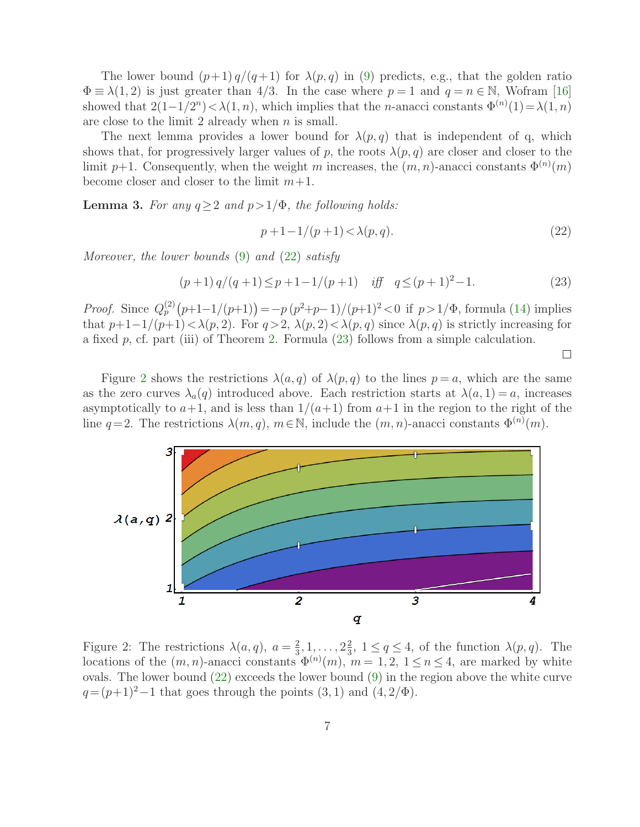The lower bound  $(p+1)q/(q+1)$  for  $\lambda(p,q)$  in [\(9\)](#page-3-3) predicts, e.g., that the golden ratio  $\Phi \equiv \lambda(1,2)$  is just greater than 4/3. In the case where  $p=1$  and  $q=n \in \mathbb{N}$ , Wofram [\[16\]](#page-9-10) showed that  $2(1-1/2^n) < \lambda(1,n)$ , which implies that the *n*-anacci constants  $\Phi^{(n)}(1) = \lambda(1,n)$ are close to the limit 2 already when  $n$  is small.

The next lemma provides a lower bound for  $\lambda(p,q)$  that is independent of q, which shows that, for progressively larger values of p, the roots  $\lambda(p,q)$  are closer and closer to the limit p+1. Consequently, when the weight m increases, the  $(m, n)$ -anacci constants  $\Phi^{(n)}(m)$ become closer and closer to the limit  $m+1$ .

**Lemma 3.** For any  $q \ge 2$  and  $p > 1/\Phi$ , the following holds:

<span id="page-6-1"></span><span id="page-6-0"></span>
$$
p + 1 - 1/(p + 1) < \lambda(p, q). \tag{22}
$$

Moreover, the lower bounds  $(9)$  and  $(22)$  satisfy

$$
(p+1) q/(q+1) \le p+1-1/(p+1) \quad \text{iff} \quad q \le (p+1)^2-1. \tag{23}
$$

*Proof.* Since  $Q_p^{(2)}(p+1-1/(p+1)) = -p(p^2+p-1)/(p+1)^2 < 0$  if  $p > 1/\Phi$ , formula [\(14\)](#page-4-1) implies that  $p+1-1/(p+1) < \lambda(p, 2)$ . For  $q > 2$ ,  $\lambda(p, 2) < \lambda(p, q)$  since  $\lambda(p, q)$  is strictly increasing for a fixed  $p$ , cf. part (iii) of Theorem [2.](#page-4-5) Formula [\(23\)](#page-6-1) follows from a simple calculation.

 $\Box$ 

Figure [2](#page-6-2) shows the restrictions  $\lambda(a,q)$  of  $\lambda(p,q)$  to the lines  $p=a$ , which are the same as the zero curves  $\lambda_a(q)$  introduced above. Each restriction starts at  $\lambda(a, 1) = a$ , increases asymptotically to  $a+1$ , and is less than  $1/(a+1)$  from  $a+1$  in the region to the right of the line  $q=2$ . The restrictions  $\lambda(m, q)$ ,  $m \in \mathbb{N}$ , include the  $(m, n)$ -anacci constants  $\Phi^{(n)}(m)$ .



<span id="page-6-2"></span>Figure 2: The restrictions  $\lambda(a,q)$ ,  $a=\frac{2}{3}$  $\frac{2}{3}, 1, \ldots, 2\frac{2}{3}$  $\frac{2}{3}$ ,  $1 \le q \le 4$ , of the function  $\lambda(p,q)$ . The locations of the  $(m, n)$ -anacci constants  $\Phi^{(n)}(m)$ ,  $m = 1, 2, 1 \le n \le 4$ , are marked by white ovals. The lower bound  $(22)$  exceeds the lower bound  $(9)$  in the region above the white curve  $q = (p+1)^2-1$  that goes through the points  $(3, 1)$  and  $(4, 2/\Phi)$ .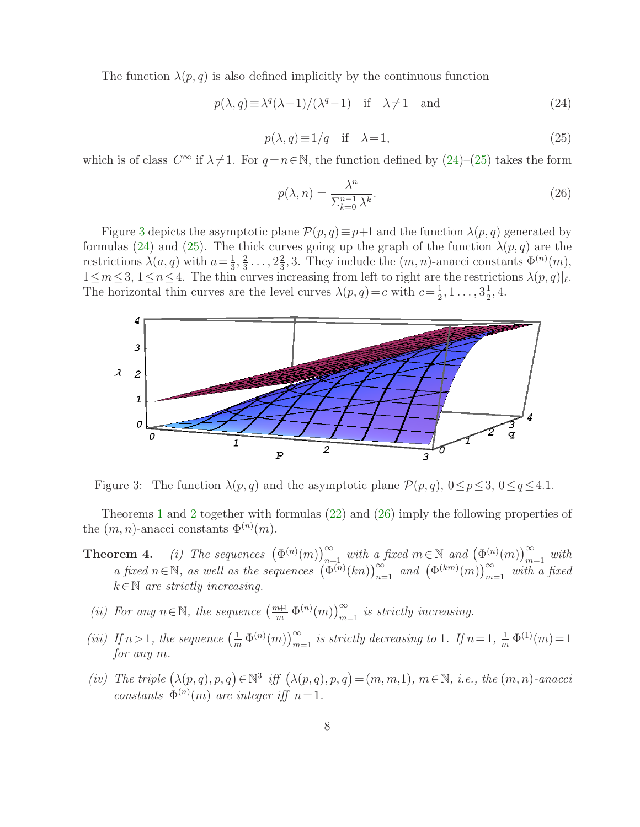<span id="page-7-1"></span>The function  $\lambda(p,q)$  is also defined implicitly by the continuous function

$$
p(\lambda, q) \equiv \lambda^{q}(\lambda - 1) / (\lambda^{q} - 1) \quad \text{if} \quad \lambda \neq 1 \quad \text{and}
$$
 (24)

<span id="page-7-0"></span>
$$
p(\lambda, q) \equiv 1/q \quad \text{if} \quad \lambda = 1,\tag{25}
$$

which is of class  $C^{\infty}$  if  $\lambda \neq 1$ . For  $q=n\in\mathbb{N}$ , the function defined by  $(24)-(25)$  $(24)-(25)$  takes the form

<span id="page-7-3"></span>
$$
p(\lambda, n) = \frac{\lambda^n}{\sum_{k=0}^{n-1} \lambda^k}.
$$
\n(26)

Figure [3](#page-7-2) depicts the asymptotic plane  $\mathcal{P}(p,q) \equiv p+1$  and the function  $\lambda(p,q)$  generated by formulas [\(24\)](#page-7-0) and [\(25\)](#page-7-1). The thick curves going up the graph of the function  $\lambda(p,q)$  are the restrictions  $\lambda(a,q)$  with  $a=\frac{1}{3}$  $\frac{1}{3}, \frac{2}{3}$  $\frac{2}{3} \ldots, 2\frac{2}{3}$  $\frac{2}{3}$ , 3. They include the  $(m, n)$ -anacci constants  $\Phi^{(n)}(m)$ ,  $1 \leq m \leq 3, \ 1 \leq n \leq 4$ . The thin curves increasing from left to right are the restrictions  $\lambda(p,q)|_{\ell}$ . The horizontal thin curves are the level curves  $\lambda(p,q)=c$  with  $c=\frac{1}{2}$  $\frac{1}{2}, 1 \ldots, 3\frac{1}{2}$  $\frac{1}{2}, 4.$ 



<span id="page-7-2"></span>Figure 3: The function  $\lambda(p,q)$  and the asymptotic plane  $\mathcal{P}(p,q)$ ,  $0 \leq p \leq 3$ ,  $0 \leq q \leq 4.1$ .

Theorems [1](#page-3-2) and [2](#page-4-5) together with formulas [\(22\)](#page-6-0) and [\(26\)](#page-7-3) imply the following properties of the  $(m, n)$ -anacci constants  $\Phi^{(n)}(m)$ .

- **Theorem 4.** (i) The sequences  $(\Phi^{(n)}(m))_{n=1}^{\infty}$  with a fixed  $m \in \mathbb{N}$  and  $(\Phi^{(n)}(m))_{m=1}^{\infty}$  with a fixed  $n \in \mathbb{N}$ , as well as the sequences  $\left(\Phi^{(n)}(kn)\right)_{n=1}^{\infty}$  and  $\left(\Phi^{(km)}(m)\right)_{m=1}^{\infty}$  with a fixed  $k \in \mathbb{N}$  are strictly increasing.
- (ii) For any  $n \in \mathbb{N}$ , the sequence  $\left(\frac{m+1}{m} \Phi^{(n)}(m)\right)_{m=1}^{\infty}$  is strictly increasing.
- (iii) If  $n > 1$ , the sequence  $\left(\frac{1}{m} \Phi^{(n)}(m)\right)_{m=1}^{\infty}$  is strictly decreasing to 1. If  $n = 1, \frac{1}{m} \Phi^{(1)}(m) = 1$ for any m.
- (iv) The triple  $(\lambda(p,q), p, q) \in \mathbb{N}^3$  iff  $(\lambda(p,q), p, q) = (m, m, 1), m \in \mathbb{N}, i.e., the (m, n) -anacci$ constants  $\Phi^{(n)}(m)$  are integer iff  $n=1$ .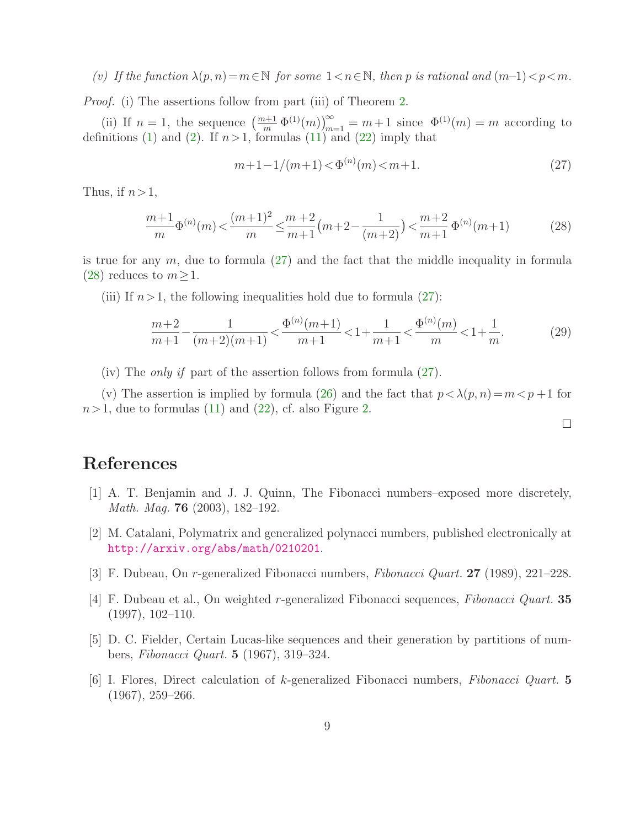(v) If the function  $\lambda(p, n) = m \in \mathbb{N}$  for some  $1 < n \in \mathbb{N}$ , then p is rational and  $(m-1) < p < m$ .

*Proof.* (i) The assertions follow from part (iii) of Theorem [2.](#page-4-5)

(ii) If  $n = 1$ , the sequence  $\left(\frac{m+1}{m} \Phi^{(1)}(m)\right)_{m=1}^{\infty} = m+1$  since  $\Phi^{(1)}(m) = m$  according to definitions [\(1\)](#page-1-0) and [\(2\)](#page-1-2). If  $n>1$ , formulas [\(11\)](#page-3-4) and [\(22\)](#page-6-0) imply that

<span id="page-8-6"></span>
$$
m+1-1/(m+1) < \Phi^{(n)}(m) < m+1.
$$
\n(27)

Thus, if  $n>1$ ,

<span id="page-8-7"></span>
$$
\frac{m+1}{m}\Phi^{(n)}(m) < \frac{(m+1)^2}{m} \le \frac{m+2}{m+1}(m+2-\frac{1}{(m+2)}) < \frac{m+2}{m+1}\Phi^{(n)}(m+1) \tag{28}
$$

is true for any  $m$ , due to formula [\(27\)](#page-8-6) and the fact that the middle inequality in formula [\(28\)](#page-8-7) reduces to  $m \geq 1$ .

(iii) If  $n>1$ , the following inequalities hold due to formula [\(27\)](#page-8-6):

$$
\frac{m+2}{m+1} - \frac{1}{(m+2)(m+1)} < \frac{\Phi^{(n)}(m+1)}{m+1} < 1 + \frac{1}{m+1} < \frac{\Phi^{(n)}(m)}{m} < 1 + \frac{1}{m}.\tag{29}
$$

(iv) The only if part of the assertion follows from formula [\(27\)](#page-8-6).

(v) The assertion is implied by formula [\(26\)](#page-7-3) and the fact that  $p < \lambda(p, n) = m < p + 1$  for  $n>1$ , due to formulas [\(11\)](#page-3-4) and [\(22\)](#page-6-0), cf. also Figure [2.](#page-6-2)

 $\Box$ 

## <span id="page-8-4"></span>References

- <span id="page-8-3"></span>[1] A. T. Benjamin and J. J. Quinn, The Fibonacci numbers–exposed more discretely, Math. Mag. 76 (2003), 182–192.
- [2] M. Catalani, Polymatrix and generalized polynacci numbers, published electronically at <http://arxiv.org/abs/math/0210201>.
- <span id="page-8-5"></span><span id="page-8-1"></span>[3] F. Dubeau, On r-generalized Fibonacci numbers, Fibonacci Quart. 27 (1989), 221–228.
- [4] F. Dubeau et al., On weighted r-generalized Fibonacci sequences, Fibonacci Quart. 35 (1997), 102–110.
- <span id="page-8-2"></span><span id="page-8-0"></span>[5] D. C. Fielder, Certain Lucas-like sequences and their generation by partitions of numbers, Fibonacci Quart. 5 (1967), 319–324.
- [6] I. Flores, Direct calculation of k-generalized Fibonacci numbers, Fibonacci Quart. 5 (1967), 259–266.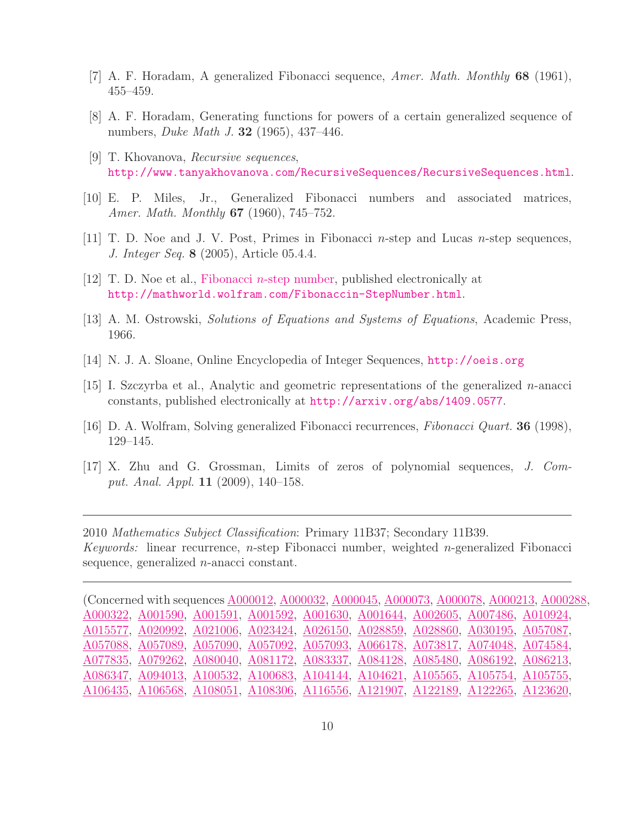- <span id="page-9-4"></span><span id="page-9-3"></span>[7] A. F. Horadam, A generalized Fibonacci sequence, Amer. Math. Monthly 68 (1961), 455–459.
- <span id="page-9-6"></span>[8] A. F. Horadam, Generating functions for powers of a certain generalized sequence of numbers, Duke Math J. 32 (1965), 437–446.
- <span id="page-9-0"></span>[9] T. Khovanova, Recursive sequences, <http://www.tanyakhovanova.com/RecursiveSequences/RecursiveSequences.html>.
- <span id="page-9-2"></span>[10] E. P. Miles, Jr., Generalized Fibonacci numbers and associated matrices, Amer. Math. Monthly **67** (1960), 745–752.
- <span id="page-9-7"></span> $[11]$  T. D. Noe and J. V. Post, Primes in Fibonacci *n*-step and Lucas *n*-step sequences, J. Integer Seq. 8 (2005), Article 05.4.4.
- <span id="page-9-8"></span>[12] T. D. Noe et al., Fibonacci n[-step number,](http://mathworld.wolfram.com/Fibonaccin-StepNumber.html) published electronically at <http://mathworld.wolfram.com/Fibonaccin-StepNumber.html>.
- <span id="page-9-5"></span>[13] A. M. Ostrowski, Solutions of Equations and Systems of Equations, Academic Press, 1966.
- <span id="page-9-9"></span>[14] N. J. A. Sloane, Online Encyclopedia of Integer Sequences, <http://oeis.org>
- <span id="page-9-10"></span>[15] I. Szczyrba et al., Analytic and geometric representations of the generalized n-anacci constants, published electronically at <http://arxiv.org/abs/1409.0577>.
- <span id="page-9-1"></span>[16] D. A. Wolfram, Solving generalized Fibonacci recurrences, Fibonacci Quart. 36 (1998), 129–145.
- [17] X. Zhu and G. Grossman, Limits of zeros of polynomial sequences, J. Comput. Anal. Appl. 11 (2009), 140–158.

2010 Mathematics Subject Classification: Primary 11B37; Secondary 11B39. Keywords: linear recurrence,  $n$ -step Fibonacci number, weighted  $n$ -generalized Fibonacci sequence, generalized n-anacci constant.

(Concerned with sequences [A000012,](http://oeis.org/A000012) [A000032,](http://oeis.org/A000032) [A000045,](http://oeis.org/A000045) [A000073,](http://oeis.org/A000073) [A000078,](http://oeis.org/A000078) [A000213,](http://oeis.org/A000213) [A000288,](http://oeis.org/A000288) [A000322,](http://oeis.org/A000322) [A001590,](http://oeis.org/A001590) [A001591,](http://oeis.org/A001591) [A001592,](http://oeis.org/A001592) [A001630,](http://oeis.org/A001630) [A001644,](http://oeis.org/A001644) [A002605,](http://oeis.org/A002605) [A007486,](http://oeis.org/A007486) [A010924,](http://oeis.org/A010924) [A015577,](http://oeis.org/A015577) [A020992,](http://oeis.org/A020992) [A021006,](http://oeis.org/A021006) [A023424,](http://oeis.org/A023424) [A026150,](http://oeis.org/A026150) [A028859,](http://oeis.org/A028859) [A028860,](http://oeis.org/A028860) [A030195,](http://oeis.org/A030195) [A057087,](http://oeis.org/A057087) [A057088,](http://oeis.org/A057088) [A057089,](http://oeis.org/A057089) [A057090,](http://oeis.org/A057090) [A057092,](http://oeis.org/A057092) [A057093,](http://oeis.org/A057093) [A066178,](http://oeis.org/A066178) [A073817,](http://oeis.org/A073817) [A074048,](http://oeis.org/A074048) [A074584,](http://oeis.org/A074584) [A077835,](http://oeis.org/A077835) [A079262,](http://oeis.org/A079262) [A080040,](http://oeis.org/A080040) [A081172,](http://oeis.org/A081172) [A083337,](http://oeis.org/A083337) [A084128,](http://oeis.org/A084128) [A085480,](http://oeis.org/A085480) [A086192,](http://oeis.org/A086192) [A086213,](http://oeis.org/A086213) [A086347,](http://oeis.org/A086347) [A094013,](http://oeis.org/A094013) [A100532,](http://oeis.org/A100532) [A100683,](http://oeis.org/A100683) [A104144,](http://oeis.org/A104144) [A104621,](http://oeis.org/A104621) [A105565,](http://oeis.org/A105565) [A105754,](http://oeis.org/A105754) [A105755,](http://oeis.org/A105755) [A106435,](http://oeis.org/A106435) [A106568,](http://oeis.org/A106568) [A108051,](http://oeis.org/A108051) [A108306,](http://oeis.org/A108306) [A116556,](http://oeis.org/A116556) [A121907,](http://oeis.org/A121907) [A122189,](http://oeis.org/A122189) [A122265,](http://oeis.org/A122265) [A123620,](http://oeis.org/A123620)